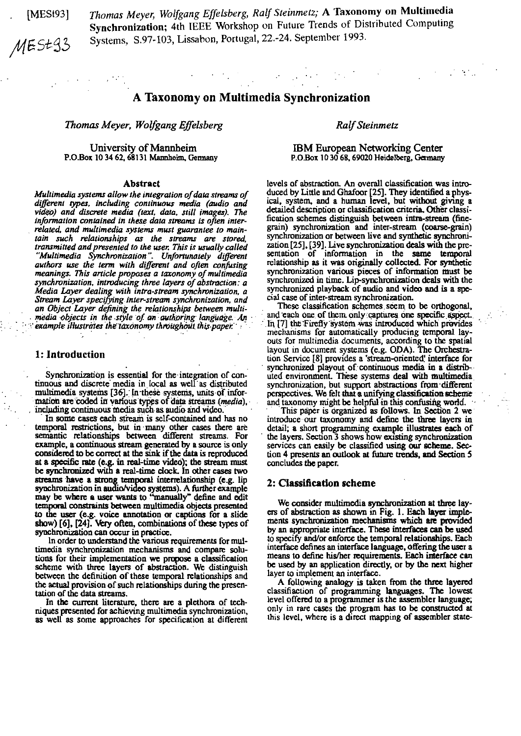[MESt93]

 $MES+33$ 

Thomas Meyer, Wolfgang Effelsberg, Ralf Steinmetz; A Taxonomy on Multimedia Synchronization; 4th IEEE Workshop on Future Trends of Distributed Computing Systems, S.97-103, Lissabon, Portugal, 22.-24. September 1993.

# A Taxonomy on Multimedia Synchronization

Thomas Meyer, Wolfgang Effelsberg

University of Mannheim P.O.Box 10 34 62, 68131 Mannheim, Germany

#### **Abstract**

Multimedia systems allow the integration of data streams of different types, including continuous media (audio and video) and discrete media (text, data, still images). The information contained in these data streams is often interrelated, and multimedia systems must guarantee to maintain such relationships as the streams are stored, transmitted and presented to the user. This is usually called<br>"Multimedia Synchronization". Unfortunately different<br>authors use the term with different and often confusing meanings. This article proposes a taxonomy of multimedia synchronization, introducing three layers of abstraction: a Media Layer dealing with intra-stream synchronization, a<br>Stream Layer specifying inter-stream synchronization, and an Object Layer defining the relationships between multimedia objects in the style of an authoring language. An example illustrates the taxonomy throughout this paper.

# 1: Introduction

Synchronization is essential for the integration of continnous and discrete media in local as well as distributed multimedia systems [36]. In these systems, units of information are coded in various types of data streams (media). including continuous media such as audio and video.

In some cases each stream is self-contained and has no temporal restrictions, but in many other cases there are semantic relationships between different streams. For example, a continuous stream generated by a source is only considered to be correct at the sink if the data is reproduced at a specific rate (e.g. in real-time video); the stream must<br>be synchronized with a real-time clock. In other cases two or synchronization in a real-nine crock. In other cases two<br>streams have a strong temporal interrelationship (e.g. lip<br>synchronization in audio/video systems). A further example<br>may be where a user wants to "manually" defi temporal constraints between multimedia objects presented to the user (e.g. voice annotation or captions for a slide<br>show) [6], [24]. Very often, combinations of these types of synchronization can occur in practice.

In order to understand the various requirements for multimedia synchronization mechanisms and compare solutions for their implementation we propose a classification scheme with three layers of abstraction. We distinguish between the definition of these temporal relationships and the actual provision of such relationships during the presentation of the data streams.

In the current literature, there are a plethora of techniques presented for achieving multimedia synchronization, as well as some approaches for specification at different **Ralf Steinmetz** 

**IBM European Networking Center** P.O.Box 10 30 68, 69020 Heidelberg, Germany

levels of abstraction. An overall classification was introduced by Little and Ghafoor [25]. They identified a physical, system, and a human level, but without giving a detailed description or classification criteria. Other classification schemes distinguish between intra-stream (finegrain) synchronization and inter-stream (coarse-grain) synchronization or between live and synthetic synchronization [25], [39]. Live synchronization deals with the pre-<br>sentation of information in the same temporal relationship as it was originally collected. For synthetic synchronization various pieces of information must be synchronized in time. Lip-synchronization deals with the synchronized playback of audio and video and is a special case of inter-stream synchronization.

These classification schemes seem to be orthogonal. and each one of them only captures one specific aspect.<br>In [7] the Firefly system was introduced which provides mechanisms for automatically producing temporal layouts for multimedia documents, according to the spatial layout in document systems (e.g. ODA). The Orchestration Service [8] provides a 'stream-oriented' interface for synchronized playout of continuous media in a distributed environment. These systems deal with multimedia synchronization, but support abstractions from different perspectives. We felt that a unifying classification scheme

and taxonomy might be helpful in this confusing world.<br>This paper is organized as follows. In Section 2 we introduce our taxonomy and define the three layers in detail; a short programming example illustrates each of the layers. Section 3 shows how existing synchronization services can easily be classified using our scheme. Section 4 presents an outlook at future trends, and Section 5 concludes the paper.

# 2: Classification scheme

We consider multimedia synchronization at three layers of abstraction as shown in Fig. 1. Each layer implements synchronization mechanisms which are provided by an appropriate interface. These interfaces can be used to specify and/or enforce the temporal relationships. Each interface defines an interface language, offering the user a means to define his/her requirements. Each interface can be used by an application directly, or by the next higher layer to implement an interface.

A following analogy is taken from the three layered classifiaction of programming languages. The lowest level offered to a programmer is the assembler language; only in rare cases the program has to be constructed at this level, where is a direct mapping of assembler state-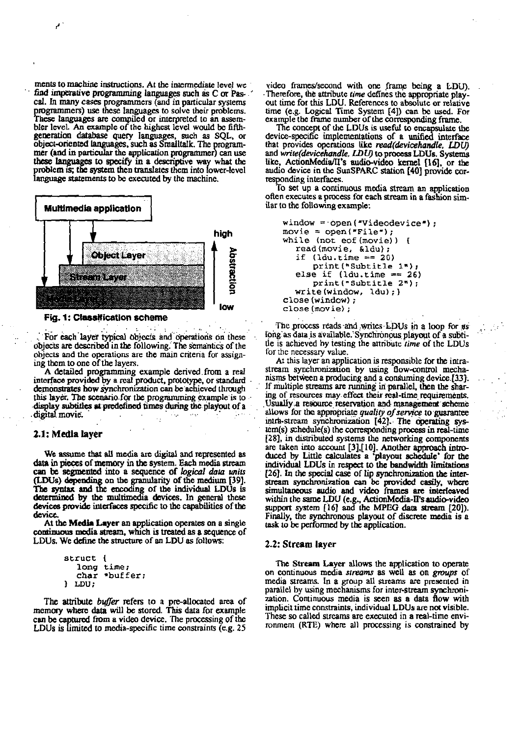ments to machine instructions. At the intermediate level we find imperative programming languages such as C or Pascal. In many cases programmers (and in particular systems programmers) use these languages to solve their problems. These languages are compiled or interpreted to an assembler level. An example of the highest level would be fifthgeneration database query languages, such as SQL, or object-oriented languages, such as Smalltalk. The programmer (and in particular the application programmer) can use these languages to specify in a descriptive way what the problem is; the system then translates them into lower-level language statements to be executed by the machine.



Fig. 1: Classification scheme

For each layer typical objects and operations on these objects are described in the following. The semantics of the objects and the operations are the main criteria for assigning them to one of the layers.

A detailed programming example derived from a real interface provided by a real product, prototype, or standard demonstrates how synchronization can be achieved through this layer. The scenario for the programming example is to display subtitles at predefined times during the playout of a digital movie. **College**  $\ddot{\phantom{a}}$  .

#### 2.1: Media layer

We assume that all media are digital and represented as data in pieces of memory in the system. Each media stream can be segmented into a sequence of logical data units (LDUs) depending on the granularity of the medium [39]. The syntax and the encoding of the individual LDUs is determined by the multimedia devices. In general these devices provide interfaces specific to the capabilities of the device.

At the Media Layer an application operates on a single continuous media stream, which is treated as a sequence of LDUs. We define the structure of an LDU as follows:

```
struct {
  long time;
  char *buffer;
) LDU:
```
The attribute buffer refers to a pre-allocated area of memory where data will be stored. This data for example can be captured from a video device. The processing of the LDUs is limited to media-specific time constraints  $(e.g. 25)$ 

video frames/second with one frame being a LDU). Therefore, the attribute time defines the appropriate playout time for this LDU. References to absolute or relative time (e.g. Logical Time System [4]) can be used. For example the frame number of the corresponding frame.

The concept of the LDUs is useful to encapsulate the device-specific implementations of a unified interface that provides operations like read(devicehandle, LDU) and write(devicehandle, LDU) to process LDUs. Systems like, ActionMedia/II's audio-video kernel [16], or the audio device in the SunSPARC station [40] provide corresponding interfaces.

To set up a continuous media stream an application often executes a process for each stream in a fashion similar to the following example:

```
window = open("Videodevice");move = open("File");while (not eof(movie))
                       \sqrt{2}read(movie, &ldu);
  if (ldu.time == 20)print("Subtitle 1");
  else if (ldu.time == 26)
     print("Subtitle 2");
  write(window, 1du);close(window);
close(movie);
```
The process reads and writes LDUs in a loop for as long as data is available. Synchronous playout of a subtitle is achieved by testing the attribute time of the LDUs for the necessary value.

At this layer an application is responsible for the intrastream synchronization by using flow-control mechanisms between a producing and a consuming device [33]. If multiple streams are running in parallel, then the sharing of resources may effect their real-time requirements. Usually a resource reservation and management scheme allows for the appropriate quality of service to guarantee intra-stream synchronization [42]. The operating system(s) schedule(s) the corresponding process in real-time [28], in distributed systems the networking components are taken into account [3],[10]. Another approach introduced by Little calculates a 'playout schedule' for the individual LDUs in respect to the bandwidth limitations [26]. In the special case of lip synchronization the interstream synchronization can be provided easily, where simultaneous audio and video frames are interleaved within the same LDU (e.g., ActionMedia-II's audio-video support system [16] and the MPEG data stream [20]). Finally, the synchronous playout of discrete media is a task to be performed by the application.

#### 2.2: Stream layer

The Stream Layer allows the application to operate on continuous media streams as well as on groups of media streams. In a group all streams are presented in parallel by using mechanisms for inter-stream synchronization. Continuous media is seen as a data flow with implicit time constraints, individual LDUs are not visible. These so called streams are executed in a real-time environment (RTE) where all processing is constrained by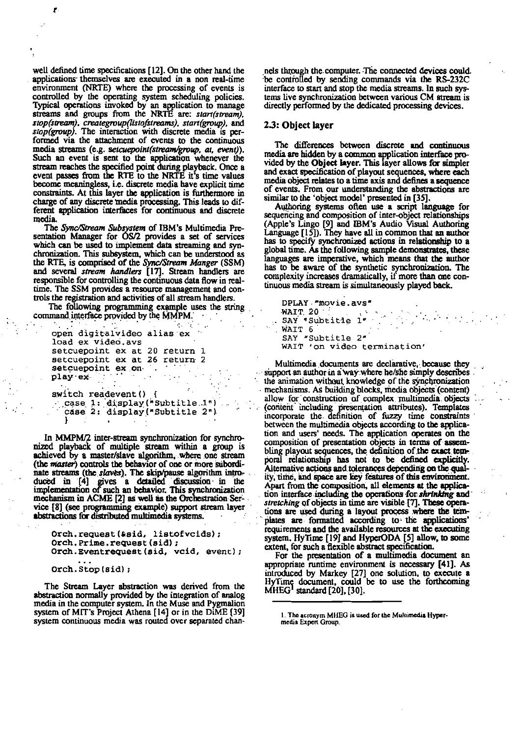well defined time specifications [12]. On the other hand the applications themselves are executed in a non real-time environment (NRTE) where the processing of events is controlled by the operating system scheduling policies. Typical operations invoked by an application to manage streams and groups from the NRTE are: start(stream), stop(stream), creategroup(listofstreams), start(group), and stop(group). The interaction with discrete media is performed via the attachment of events to the continuous media streams (e.g. setcuepoint(stream/group, at, event)). Such an event is sent to the application whenever the stream reaches the specified point during playback. Once a event passes from the RTE to the NRTE it's time values become meaningless, i.e. discrete media have explicit time constraints. At this layer the application is furthermore in charge of any discrete media processing. This leads to different application interfaces for continuous and discrete media.

The Sync/Stream Subsystem of IBM's Multimedia Presentation Manager for OS/2 provides a set of services which can be used to implement data streaming and synchronization. This subsystem, which can be understood as the RTE, is comprised of the Sync/Stream Manger (SSM) and several stream handlers [17]. Stream handlers are responsible for controlling the continuous data flow in realtime. The SSM provides a resource management and controls the registration and activities of all stream handlers.

The following programming example uses the string command interface provided by the MMPM.

 $\mathcal{A}_{\rm{max}}$  ,  $\mathcal{A}_{\rm{max}}$ open digitalvideo alias ex load ex video.avs setcuepoint ex at 20 return 1 setcuepoint ex at 26 return 2 setcuepoint ex on. play ex

 $\mathcal{L}_{\mathcal{A}}$ 

switch readevent() { case 1: display("Subtitle 1") case 2: display("Subtitle 2")

In MMPM/2 inter-stream synchronization for synchronized playback of multiple stream within a group is achieved by a master/slave algorithm, where one stream (the master) controls the behavior of one or more subordinate streams (the slaves). The skip/pause algorithm introduced in [4] gives a detailed discussion in the implementation of such an behavior. This synchronization mechanism in ACME [2] as well as the Orchestration Service [8] (see programming example) support stream layer abstractions for distributed multimedia systems.

```
Orch.request(&sid, listofvcids);
Orch.Prime.request(sid);
Orch. Eventrequest (sid, vcid, event);
```
Orch.Stop(sid);

The Stream Layer abstraction was derived from the abstraction normally provided by the integration of analog media in the computer system. In the Muse and Pygmalion system of MIT's Project Athena [14] or in the DiME [39] system continuous media was routed over separated channels through the computer. The connected devices could. be controlled by sending commands via the RS-232C interface to start and stop the media streams. In such systems live synchronization between various CM stream is directly performed by the dedicated processing devices.

# 2.3: Object layer

٠.

The differences between discrete and continuous media are hidden by a common application interface provided by the Object layer. This layer allows for simpler and exact specification of playout sequences, where each media object relates to a time axis and defines a sequence of events. From our understanding the abstractions are similar to the 'object model' presented in [35].

Authoring systems often use a script language for sequencing and composition of inter-object relationships (Apple's Lingo [9] and IBM's Audio Visual Authoring Language  $[15]$ ). They have all in common that an author has to specify synchronized actions in relationship to a global time. As the following sample demonstrates, these languages are imperative, which means that the author has to be aware of the synthetic synchronization. The complexity increases dramatically, if more than one continuous media stream is simultaneously played back.

```
DPLAY "movie.avs"
WAIT 20
SAY "Subtitle 1"
WAIT 6<br>SAY "Subtitle 2"
WAIT 'on video termination'
```
Multimedia documents are declarative, because they support an author in a way where he/she simply describes the animation without knowledge of the synchronization mechanisms. As building blocks, media objects (content) allow for construction of complex multimedia objects (content including presentation attributes). Templates incorporate the definition of fuzzy time constraints between the multimedia objects according to the application and users' needs. The application operates on the composition of presentation objects in terms of assembling playout sequences, the definition of the exact temporal relationship has not to be defined explicitly. Alternative actions and tolerances depending on the quality, time, and space are key features of this environment. Apart from the composition, all elements at the application interface including the operations for shrinking and stretching of objects in time are visible [7]. These operations are used during a layout process where the tem-<br>plates are formatted according to the applications'<br>requirements and the available resources at the executing system. HyTime [19] and HyperODA [5] allow, to some extent, for such a flexible abstract specification.

For the presentation of a multimedia document an appropriate runtime environment is necessary  $[41]$ . As introduced by Markey [27] one solution, to execute a HyTime document, could be to use the forthcoming  $MHEG<sup>1</sup>$  standard [20], [30].

<sup>1.</sup> The acronym MHEG is used for the Multimedia Hypermedia Expert Group.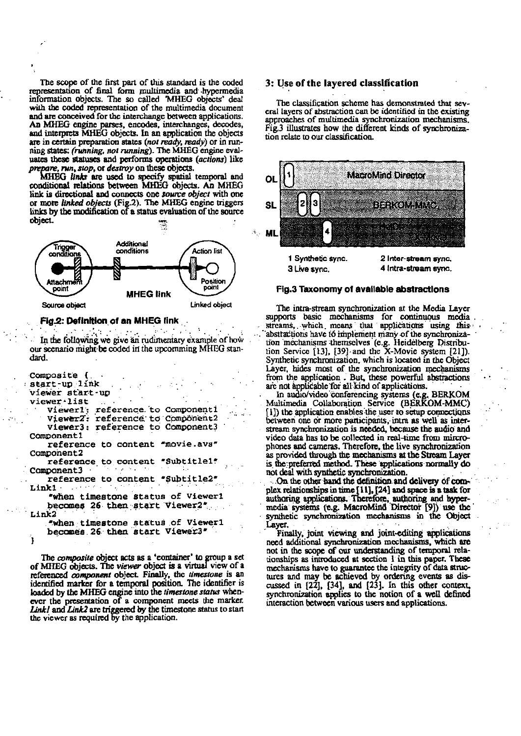The scope of the first part of this standard is the coded representation of final form multimedia and hypermedia information objects. The so called MHEG objects' deal with the coded representation of the multimedia document and are conceived for the interchange between applications. An MHEG engine parses, encodes, interchanges, decodes, and interprets MHEG objects. In an application the objects are in certain preparation states (not ready, ready) or in running states: (running, not running). The MHEG engine evaluates these statuses and performs operations (actions) like prepare, run, stop, or destroy on these objects.

MHEG links are used to specify spatial temporal and conditional relations between MHEG objects. An MHEG link is directional and connects one source object with one or more linked objects (Fig.2). The MHEG engine triggers links by the modification of a status evaluation of the source object.



#### Fig.2: Definition of an MHEG link

In the following we give an rudimentary example of how our scenario might be coded in the upcomming MHEG standard.

```
Composite {
start-up link
viewer start-up
viewer-list
   Viewer1: reference to Component1
   Viewer2: reference to Component2
   Viewer3: reference to Component3
Component1
   reference to content "movie.avs"
Component2
   reference to content "Subtitle1"
Component3
   reference to content "Subtitle2"
Link1
   "when timestone status of Viewer1
   becomes 26 then start Viewer2"
Link2
   when timestone status of Viewerl
   becomes 26 then start Viewer3*
Î
```
The composite object acts as a 'container' to group a set of MHEG objects. The viewer object is a virtual view of a referenced component object. Finally, the timestone is an identified marker for a temporal position. The identifier is loaded by the MHEG engine into the timestone status whenever the presentation of a component meets the marker. Link! and Link2 are triggered by the timestone status to start the viewer as required by the application.

### 3: Use of the layered classification

The classification scheme has demonstrated that several layers of abstraction can be identified in the existing approaches of multimedia synchronization mechanisms. Fig.3 illustrates how the different kinds of synchronization relate to our classification.



#### Fig.3 Taxonomy of available abstractions

The intra-stream synchronization at the Media Layer supports basic mechanisms for continuous media streams, which means that applications using this abstractions have to implement many of the synchronization inechanisms themselves (e.g. Heidelberg Distribu-<br>tion Service [13], [39] and the X-Movie system [21]). Synthetic synchronization, which is located in the Object Layer, hides most of the synchronization mechanisms from the application. But, these powerful abstractions are not applicable for all kind of applications.

In audio/video conferencing systems (e.g. BERKOM<br>Multimedia Collaboration Service (BERKOM-MMC) [1]) the application enables the user to setup connections between one or more participants, intra as well as interstream synchronization is needed, because the audio and video data has to be collected in real-time from mircrophones and cameras. Therefore, the live synchronization as provided through the mechanisms at the Stream Layer is the preferred method. These applications normally do not deal with synthetic synchronization.

On the other hand the definition and delivery of complex relationships in time [11], [24] and space is a task for authoring applications. Therefore, authoring and hypermedia systems (e.g. MacroMind Director [9]) use the synthetic synchronization mechanisms in the Object Layer.

Finally, joint viewing and joint-editing applications need additional synchronization mechanisms, which are not in the scope of our understanding of temporal relationships as introduced at section 1 in this paper. These mechanisms have to guarantee the integrity of data structures and may be achieved by ordering events as discussed in [22], [34], and [23]. In this other context, synchronization applies to the notion of a well defined interaction between various users and applications.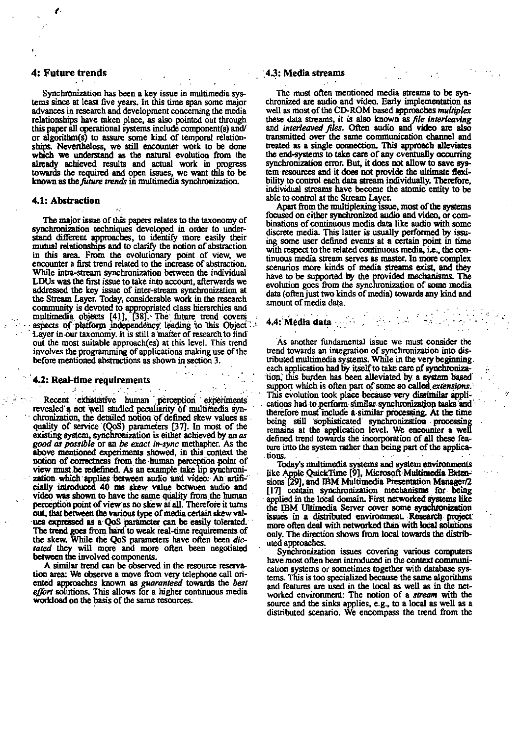### 4: Future trends

Synchronization has been a key issue in multimedia systems since at least five years. In this time span some major advances in research and development concerning the media relationships have taken place, as also pointed out through this paper all operational systems include component(s) and/ or algorithm(s) to assure some kind of temporal relationships. Nevertheless, we still encounter work to be done which we understand as the natural evolution from the already achieved results and actual work in progress towards the required and open issues, we want this to be known as the future trends in multimedia synchronization.

#### 4.1: Abstraction

The major issue of this papers relates to the taxonomy of synchronization techniques developed in order to understand different approaches, to identify more easily their mutual relationships and to clarify the notion of abstraction in this area. From the evolutionary point of view, we encounter a first trend related to the increase of abstraction. While intra-stream synchronization between the individual LDUs was the first issue to take into account, afterwards we addressed the key issue of inter-stream synchronization at the Stream Layer. Today, considerable work in the research community is devoted to appropriated class hierarchies and multimedia objects [41], [38]. The future trend covers aspects of platform independency leading to this Object Layer in our taxonomy. It is still a matter of research to find out the most suitable approach(es) at this level. This trend involves the programming of applications making use of the before mentioned abstractions as shown in section 3.

#### 4.2: Real-time requirements

 $\mathcal{L}^{\text{max}}_{\text{max}}$  and  $\mathcal{L}^{\text{max}}_{\text{max}}$ Recent exhaustive human perception experiments revealed a not well studied peculiarity of multimedia synchronization, the detailed notion of defined skew values as quality of service (QoS) parameters [37]. In most of the existing system, synchronization is either achieved by an as good as possible or an be exact in-sync methapher. As the above mentioned experiments showed, in this context the notion of correctness from the human perception point of view must be redefined. As an example take lip synchronization which applies between audio and video: An artificially introduced 40 ms skew value between audio and video was shown to have the same quality from the human perception point of view as no skew at all. Therefore it turns out, that between the various type of media certain skew values expressed as a QoS parameter can be easily tolerated. The trend goes from hard to weak real-time requirements of the skew. While the QoS parameters have often been dictated they will more and more often been negotiated between the involved components.

A similar trend can be observed in the resource reservation area: We observe a move from very telephone call oriented approaches known as guaranteed towards the best effort solutions. This allows for a higher continuous media workload on the basis of the same resources.

#### 4.3: Media streams

The most often mentioned media streams to be synchronized are audio and video. Early implementation as well as most of the CD-ROM based approaches multiplex these data streams, it is also known as file interleaving and interleaved files. Often audio and video are also transmitted over the same communication channel and treated as a single connection. This approach alleviates the end-systems to take care of any eventually occurring synchronization error. But, it does not allow to save system resources and it does not provide the ultimate flexibility to control each data stream individually. Therefore, individual streams have become the atomic entity to be able to control at the Stream Layer.

Apart from the multiplexing issue, most of the systems focused on either synchronized audio and video, or combinations of continuous media data like audio with some discrete media. This latter is usually performed by issuing some user defined events at a certain point in time with respect to the related continuous media, i.e., the continuous media stream serves as master. In more complex scenarios more kinds of media streams exist, and they have to be supported by the provided mechanisms. The evolution goes from the synchronization of some media data (often just two kinds of media) towards any kind and amount of media data.

# 4.4: Media data propinsi personal personal personal personal personal personal personal personal personal per<br>Personal personal personal personal personal personal personal personal personal personal personal personal pe

As another fundamental issue we must consider the trend towards an integration of synchronization into distributed multimedia systems. While in the very beginning each application had by itself to take care of synchronization, this burden has been alleviated by a system based support which is often part of some so called extensions. This evolution took place because very dissimilar applications had to perform similar synchronization tasks and therefore must include a similar processing. At the time being still sophisticated synchronization processing remains at the application level. We encounter a well defined trend towards the incorporation of all these feature into the system rather than being part of the applications.

Today's multimedia systems and system environments like Apple QuickTime [9], Microsoft Multimedia Extensions [29], and IBM Multimedia Presentation Manager/2 [17] contain synchronization mechanisms for being applied in the local domain. First networked systems like the IBM Ultimedia Server cover some synchronization issues in a distributed environment. Research project more often deal with networked than with local solutions only. The direction shows from local towards the distributed approaches.

Synchronization issues covering various computers have most often been introduced in the context communication systems or sometimes together with database systems. This is too specialized because the same algorithms and features are used in the local as well as in the networked environment: The notion of a stream with the source and the sinks applies, e.g., to a local as well as a distributed scenario. We encompass the trend from the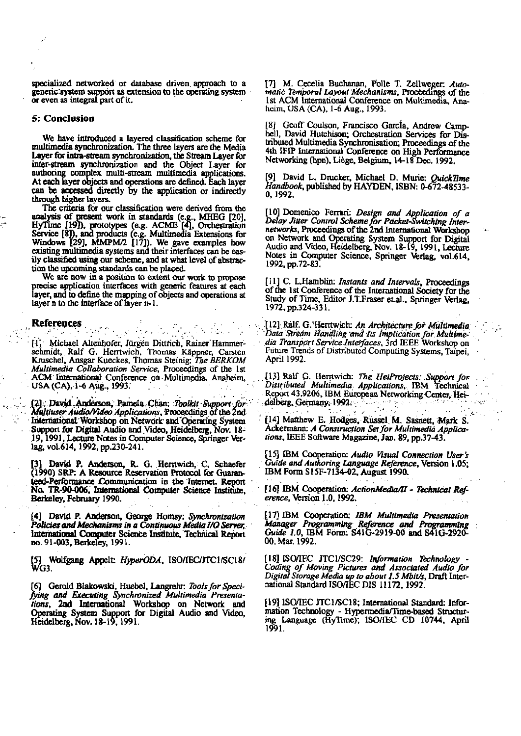specialized networked or database driven approach to a generic system support as extension to the operating system or even as integral part of it.

### 5: Conclusion

We have introduced a layered classification scheme for multimedia synchronization. The three layers are the Media Layer for intra-stream synchronization, the Stream Layer for inter-stream synchronization and the Object Layer for authoring complex multi-stream multimedia applications. At each layer objects and operations are defined. Each layer can be accessed directly by the application or indirectly through higher layers.

The criteria for our classification were derived from the analysis of present work in standards (e.g., MHEG [20],<br>HyTime [19]), prototypes (e.g. ACME [4], Orchestration<br>Service [8]), and products (e.g. Multimedia Extensions for<br>Windows [29], MMPM/2 [17]). We gave examples how existing multimedia systems and their interfaces can be easily classified using our scheme, and at what level of abstraction the upcoming standards can be placed.

We are now in a position to extent our work to propose precise application interfaces with generic features at each layer, and to define the mapping of objects and operations at layer n to the interface of layer n-1.

References [1] Michael Altenhofer, Jürgen Dittrich, Rainer Hammerschmidt, Ralf G. Herrtwich, Thomas Käppner, Carsten<br>Kruschel, Ansgar Kueckes, Thomas Steinig: The BERKOM Multimedia Collaboration Service, Proceedings of the 1st ACM International Conference on Multimedia, Anaheim, USA (CA), 1-6 Aug., 1993.

[2] David Anderson, Pamela Chan: Toolkit Support for Multiuser Audio/Video Applications, Proceedings of the 2nd International Workshop on Network and Operating System Support for Digital Audio and Video, Heidelberg, Nov. 18-19, 1991, Lecture Notes in Computer Science, Springer Verlag, vol.614, 1992, pp.230-241.

[3] David P. Anderson, R. G. Herriwich, C. Schaefer<br>(1990) SRP: A Resource Reservation Protocol for Guaran-David P. Anderson, R. G. Hernwich, C. Schaefer teed-Performance Communication in the Internet. Report No. TR-90-006, International Computer Science Institute, Berkeley, February 1990.

[4] David P. Anderson, George Homsy: Synchronization Policies and Mechanisms in a Continuous Media I/O Server.<br>International Computer Science Institute, Technical Report no. 91-003, Berkeley, 1991.

[5] Wolfgang Appelt: *HyperODA*, ISO/IEC/JTC1/SC18/<br>WG3.

[6] Gerold Blakowski, Huebel, Langrehr: Tools for Specifying and Executing Synchronized Multimedia Presentations, 2nd International Workshop on Network and<br>Operating System Support for Digital Audio and Video,<br>Heidelberg, Nov. 18-19, 1991. [7] M. Cecelia Buchanan, Polle T. Zellweger: Automatic Temporal Layout Mechanisms, Proceedings of the 1st ACM International Conference on Multimedia, Anaheim, USA (CA), 1-6 Aug., 1993.

[8] Geoff Coulson, Francisco Garcla, Andrew Campbell, David Hutchison; Orchestration Services for Distributed Multimedia Synchronisation; Proceedings of the 4th IFIP International Conference on High Performance Networking (hpn), Liège, Belgium, 14-18 Dec. 1992.

[9] David L. Drucker, Michael D. Murie: QuickTime Handbook, published by HAYDEN, ISBN: 0-672-48533-0, 1992.

[10] Domenico Ferrari: Design and Application of a Delay Jitter Control Scheme for Packet-Switching Inter-<br>networks, Proceedings of the 2nd International Workshop on Network and Operating System Support for Digital<br>Audio and Video, Heidelberg, Nov. 18-19, 1991, Lecture<br>Notes in Computer Science, Springer Verlag, vol.614, 1992, pp.72-83.

[11] C. L.Hamblin: Instants and Intervals, Proceedings of the 1st Conference of the International Society for the Study of Time, Editor J.T.Fraser et.al., Springer Verlag, 1972, pp.324-331.

[12] Ralf. G. Herrtwich: An Architecture for Multimedia Data Stream Händling and Its Implication for Multime-<br>dia Transport Service Interfaces, 3rd IEEE Workshop on Future Trends of Distributed Computing Systems, Taipei, April 1992.

[13] Ralf G. Hernwich: The HeiProjects: Support for Distributed Multimedia Applications, IBM Technical Report 43.9206, IBM European Networking Center, Heidelberg, Germany, 1992.

[14] Matthew E. Hodges, Russel M. Sasnett, Mark S. Ackermann: A Construction Set for Multimedia Applications, IEEE Software Magazine, Jan. 89, pp.37-43.

[15] IBM Cooperation: Audio Visual Connection User's Guide and Authoring Language Reference, Version 1.05; IBM Form S15F-7134-02, August 1990.

[16] IBM Cooperation: ActionMedia/II - Technical Ref*erence*, Version 1.0, 1992.

[17] IBM Cooperation: IBM Multimedia Presentation<br>Manager Programming Reference and Programming<br>Guide 1.0, IBM Form: S41G-2919-00 and S41G-2920-00, Mar. 1992.

[18] ISO/IEC JTC1/SC29: Information Technology -Coding of Moving Pictures and Associated Audio for Digital Storage Media up to about 1.5 Mbit/s, Draft International Standard ISO/IEC DIS 11172, 1992.

[19] ISO/IEC JTC1/SC18; International Standard: Information Technology - Hypermedia/Time-based Structuring Language (HyTime); ISO/IEC CD 10744, April 1991.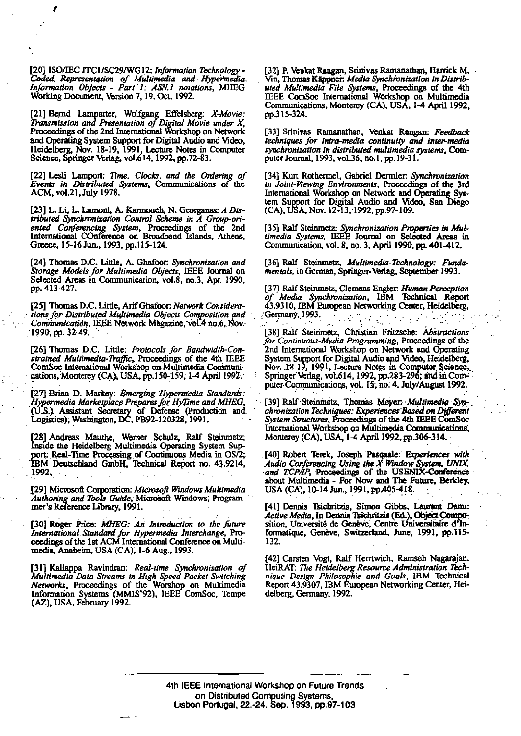[20] ISO/IEC JTC1/SC29/WG12: Information Technology -Coded Representation of Multimedia and Hypermedia.<br>Information Objects - Part 1: ASN.1 notations, MHEG<br>Working Document, Version 7, 19. Oct. 1992.

[21] Bernd Lamparter, Wolfgang Effelsberg: X-Movie: Transmission and Presentation of Digital Movie under X, Proceedings of the 2nd International Workshop on Network and Operating System Support for Digital Audio and Video,<br>Heidelberg, Nov. 18-19, 1991, Lecture Notes in Computer Science, Springer Verlag, vol.614, 1992, pp.72-83.

[22] Lesli Lamport: Time, Clocks, and the Ordering of Events in Distributed Systems, Communications of the ACM, vol.21, July 1978.

[23] L. Li, L. Lamont, A. Karmouch, N. Georganas: A Distributed Synchronization Control Scheme in A Group-oriented Conferencing System, Proceedings of the 2nd<br>International COnference on Broadband Islands, Athens, Greece, 15-16 Jun., 1993, pp.115-124.

[24] Thomas D.C. Little, A. Ghafoor: Synchronization and Storage Models for Multimedia Objects, IEEE Journal on Selected Areas in Communication, vol.8, no.3, Apr. 1990, pp. 413-427.

[25] Thomas D.C. Little, Arif Ghafoor: Network Considerations for Distributed Multimedia Objects Composition and Communication, IEEE Network Magazine, vol.4 no.6, Nov. 1990, pp. 32-49.

[26] Thomas D.C. Little: Protocols for Bandwidth-Constrained Multimedia-Traffic, Proceedings of the 4th IEEE ComSoc International Workshop on Multimedia Communications, Monterey (CA), USA, pp.150-159, 1-4 April 1992.

[27] Brian D. Markey: Emerging Hypermedia Standards: Hypermedia Marketplace Prepares for HyTime and MHEG,<br>(U.S.) Assistant Secretary of Defense (Production and Logistics), Washington, DC, PB92-120328, 1991.

[28] Andreas Mauthe, Werner Schulz, Ralf Steinmetz; Inside the Heidelberg Multimedia Operating System Support: Real-Time Processing of Continuous Media in OS/2; IBM Deutschland GmbH, Technical Report no. 43.9214,  $1992$ ,  $1992$ 

[29] Microsoft Corporation: Microsoft Windows Multimedia Authoring and Tools Guide, Microsoft Windows, Programmer's Reference Library, 1991.

[30] Roger Price: MHEG: An Introduction to the future International Standard for Hypermedia Interchange, Proceedings of the 1st ACM International Conference on Multimedia, Anaheim, USA (CA), 1-6 Aug., 1993.

[31] Kaliappa Ravindran: Real-time Synchronisation of Multimedia Data Streams in High Speed Packet Switching<br>Networks, Proceedings of the Worshop on Multimedia<br>Information Systems (MMIS'92), IEEE ComSoc, Tempe (AZ), USA, February 1992.

[32] P. Venkat Rangan, Srinivas Ramanathan, Harrick M. -Vin, Thomas Kappner: Media Synchronization in Distributed Multimedia File Systems, Proceedings of the 4th IEEE ComSoc International Workshop on Multimedia Communications, Monterey (CA), USA, 1-4 April 1992, pp.315-324.

[33] Srinivas Ramanathan, Venkat Rangan: Feedback techniques for intra-media continuity and inter-media synchronization in distributed multimedia systems. Computer Journal, 1993, vol.36, no.1, pp.19-31.

[34] Kurt Rothermel, Gabriel Dermler: Synchronization in Joint-Viewing Environments, Proceedings of the 3rd International Workshop on Network and Operating System Support for Digital Audio and Video, San Diego (CA), USA, Nov. 12-13, 1992, pp.97-109.

[35] Ralf Steinmetz: Synchronization Properties in Multimedia Systems, IEEE Journal on Selected Areas in Communication, vol. 8, no. 3, April 1990, pp. 401-412.

[36] Ralf Steinmetz, Multimedia-Technology: Fundamentals, in German, Springer-Verlag, September 1993.

[37] Ralf Steinmetz, Clemens Engler: Human Perception of Media Synchronization. IBM Technical Report 43.9310, IBM European Networking Center, Heidelberg, Germany, 1993.  $\cdots$  $\mathcal{O}(\mathcal{O}_{\mathcal{O}_{\mathcal{O}_{\mathcal{O}_{\mathcal{O}_{\mathcal{O}_{\mathcal{O}_{\mathcal{O}}}}}}}})$  $\mathcal{O}(\mathcal{F}^{\mathcal{A}})$ 

[38] Ralf Steinmetz, Christian Fritzsche: Abstractions for Continuous-Media Programming, Proceedings of the 2nd International Workshop on Network and Operating System Support for Digital Audio and Video, Heidelberg,<br>Nov. 18-19, 1991, Lecture Notes in Computer Science, Springer Verlag, vol.614, 1992, pp.283-296; and in Computer Communications, vol. 15, no. 4, July/August 1992.

[39] Ralf Steinmetz, Thomas Meyer: Multimedia Synchronization Techniques: Experiences Based on Different System Structures, Proceedings of the 4th IEEE ComSoc International Workshop on Multimedia Communications, Monterey (CA), USA, 1-4 April 1992, pp.306-314.

[40] Robert Terek, Joseph Pasquale: Experiences with Audio Conferencing Using the X Window System, UNIX, and TCP/IP, Proceedings of the USENIX-Conference<br>about Multimedia - For Now and The Future, Berkley, USA (CA), 10-14 Jun., 1991, pp.405-418.

[41] Dennis Tsichritzis, Simon Gibbs, Laurant Dami:<br>Active Media, In Dennis Tsichritzis (Ed.), Object Composition, Université de Geneve, Centre Universitaire d'Informatique, Genève, Switzerland, June, 1991, pp.115-132.

[42] Carsten Vogt, Ralf Herrtwich, Ramseh Nagarajan: HeiRAT: The Heidelberg Resource Administration Technique Design Philosophie and Goals, IBM Technical Report 43.9307, IBM European Networking Center, Heidelberg, Germany, 1992.

4th IEEE International Workshop on Future Trends on Distributed Computing Systems, Lisbon Portugal, 22,-24. Sep. 1993, pp.97-103